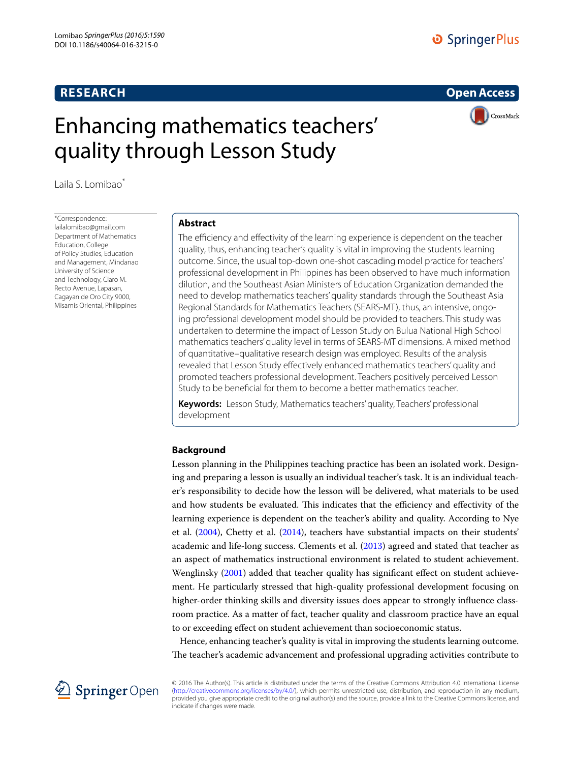### **RESEARCH**

## O Springer Plus

**Open Access**

# Enhancing mathematics teachers' quality through Lesson Study



Laila S. Lomibao\*

\*Correspondence: lailalomibao@gmail.com Department of Mathematics Education, College of Policy Studies, Education and Management, Mindanao University of Science and Technology, Claro M. Recto Avenue, Lapasan, Cagayan de Oro City 9000, Misamis Oriental, Philippines

#### **Abstract**

The efficiency and effectivity of the learning experience is dependent on the teacher quality, thus, enhancing teacher's quality is vital in improving the students learning outcome. Since, the usual top-down one-shot cascading model practice for teachers' professional development in Philippines has been observed to have much information dilution, and the Southeast Asian Ministers of Education Organization demanded the need to develop mathematics teachers' quality standards through the Southeast Asia Regional Standards for Mathematics Teachers (SEARS-MT), thus, an intensive, ongoing professional development model should be provided to teachers. This study was undertaken to determine the impact of Lesson Study on Bulua National High School mathematics teachers' quality level in terms of SEARS-MT dimensions. A mixed method of quantitative–qualitative research design was employed. Results of the analysis revealed that Lesson Study effectively enhanced mathematics teachers' quality and promoted teachers professional development. Teachers positively perceived Lesson Study to be beneficial for them to become a better mathematics teacher.

**Keywords:** Lesson Study, Mathematics teachers' quality, Teachers' professional development

#### **Background**

Lesson planning in the Philippines teaching practice has been an isolated work. Designing and preparing a lesson is usually an individual teacher's task. It is an individual teacher's responsibility to decide how the lesson will be delivered, what materials to be used and how students be evaluated. This indicates that the efficiency and effectivity of the learning experience is dependent on the teacher's ability and quality. According to Nye et al. ([2004\)](#page-12-0), Chetty et al. ([2014\)](#page-11-0), teachers have substantial impacts on their students' academic and life-long success. Clements et al. [\(2013\)](#page-12-1) agreed and stated that teacher as an aspect of mathematics instructional environment is related to student achievement. Wenglinsky ([2001](#page-12-2)) added that teacher quality has significant effect on student achievement. He particularly stressed that high-quality professional development focusing on higher-order thinking skills and diversity issues does appear to strongly influence classroom practice. As a matter of fact, teacher quality and classroom practice have an equal to or exceeding effect on student achievement than socioeconomic status.

Hence, enhancing teacher's quality is vital in improving the students learning outcome. The teacher's academic advancement and professional upgrading activities contribute to



© 2016 The Author(s). This article is distributed under the terms of the Creative Commons Attribution 4.0 International License [\(http://creativecommons.org/licenses/by/4.0/](http://creativecommons.org/licenses/by/4.0/)), which permits unrestricted use, distribution, and reproduction in any medium, provided you give appropriate credit to the original author(s) and the source, provide a link to the Creative Commons license, and indicate if changes were made.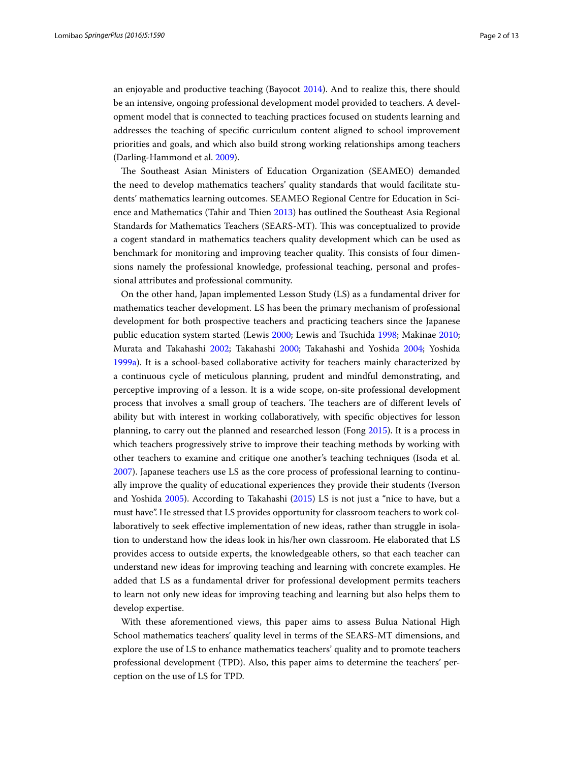an enjoyable and productive teaching (Bayocot [2014\)](#page-11-1). And to realize this, there should be an intensive, ongoing professional development model provided to teachers. A development model that is connected to teaching practices focused on students learning and addresses the teaching of specific curriculum content aligned to school improvement priorities and goals, and which also build strong working relationships among teachers (Darling-Hammond et al. [2009](#page-12-3)).

The Southeast Asian Ministers of Education Organization (SEAMEO) demanded the need to develop mathematics teachers' quality standards that would facilitate students' mathematics learning outcomes. SEAMEO Regional Centre for Education in Science and Mathematics (Tahir and Thien [2013\)](#page-12-4) has outlined the Southeast Asia Regional Standards for Mathematics Teachers (SEARS-MT). This was conceptualized to provide a cogent standard in mathematics teachers quality development which can be used as benchmark for monitoring and improving teacher quality. This consists of four dimensions namely the professional knowledge, professional teaching, personal and professional attributes and professional community.

On the other hand, Japan implemented Lesson Study (LS) as a fundamental driver for mathematics teacher development. LS has been the primary mechanism of professional development for both prospective teachers and practicing teachers since the Japanese public education system started (Lewis [2000;](#page-12-5) Lewis and Tsuchida [1998;](#page-12-6) Makinae [2010](#page-12-7); Murata and Takahashi [2002;](#page-12-8) Takahashi [2000](#page-12-9); Takahashi and Yoshida [2004;](#page-12-10) Yoshida [1999a\)](#page-12-11). It is a school-based collaborative activity for teachers mainly characterized by a continuous cycle of meticulous planning, prudent and mindful demonstrating, and perceptive improving of a lesson. It is a wide scope, on-site professional development process that involves a small group of teachers. The teachers are of different levels of ability but with interest in working collaboratively, with specific objectives for lesson planning, to carry out the planned and researched lesson (Fong [2015](#page-12-12)). It is a process in which teachers progressively strive to improve their teaching methods by working with other teachers to examine and critique one another's teaching techniques (Isoda et al. [2007](#page-12-13)). Japanese teachers use LS as the core process of professional learning to continually improve the quality of educational experiences they provide their students (Iverson and Yoshida [2005\)](#page-12-14). According to Takahashi [\(2015](#page-12-15)) LS is not just a "nice to have, but a must have". He stressed that LS provides opportunity for classroom teachers to work collaboratively to seek effective implementation of new ideas, rather than struggle in isolation to understand how the ideas look in his/her own classroom. He elaborated that LS provides access to outside experts, the knowledgeable others, so that each teacher can understand new ideas for improving teaching and learning with concrete examples. He added that LS as a fundamental driver for professional development permits teachers to learn not only new ideas for improving teaching and learning but also helps them to develop expertise.

With these aforementioned views, this paper aims to assess Bulua National High School mathematics teachers' quality level in terms of the SEARS-MT dimensions, and explore the use of LS to enhance mathematics teachers' quality and to promote teachers professional development (TPD). Also, this paper aims to determine the teachers' perception on the use of LS for TPD.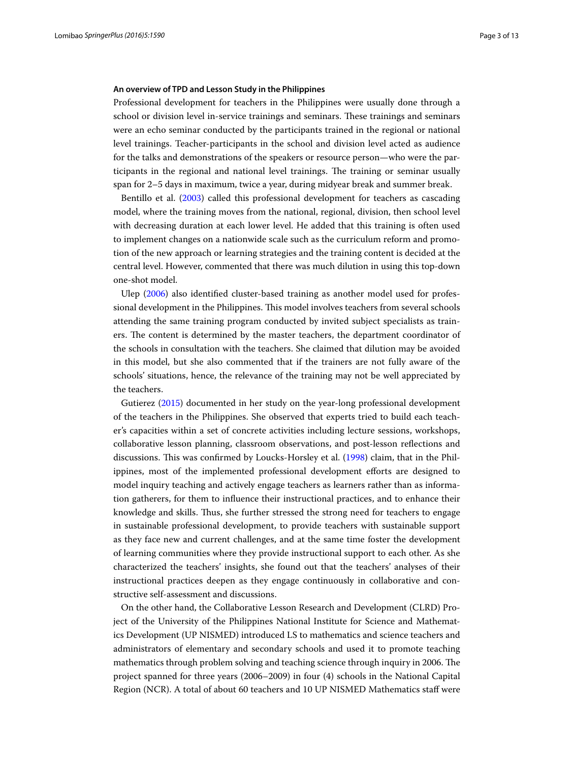#### **An overview of TPD and Lesson Study in the Philippines**

Professional development for teachers in the Philippines were usually done through a school or division level in-service trainings and seminars. These trainings and seminars were an echo seminar conducted by the participants trained in the regional or national level trainings. Teacher-participants in the school and division level acted as audience for the talks and demonstrations of the speakers or resource person—who were the participants in the regional and national level trainings. The training or seminar usually span for 2–5 days in maximum, twice a year, during midyear break and summer break.

Bentillo et al. [\(2003\)](#page-11-2) called this professional development for teachers as cascading model, where the training moves from the national, regional, division, then school level with decreasing duration at each lower level. He added that this training is often used to implement changes on a nationwide scale such as the curriculum reform and promotion of the new approach or learning strategies and the training content is decided at the central level. However, commented that there was much dilution in using this top-down one-shot model.

Ulep ([2006\)](#page-12-16) also identified cluster-based training as another model used for professional development in the Philippines. This model involves teachers from several schools attending the same training program conducted by invited subject specialists as trainers. The content is determined by the master teachers, the department coordinator of the schools in consultation with the teachers. She claimed that dilution may be avoided in this model, but she also commented that if the trainers are not fully aware of the schools' situations, hence, the relevance of the training may not be well appreciated by the teachers.

Gutierez [\(2015](#page-12-17)) documented in her study on the year-long professional development of the teachers in the Philippines. She observed that experts tried to build each teacher's capacities within a set of concrete activities including lecture sessions, workshops, collaborative lesson planning, classroom observations, and post-lesson reflections and discussions. This was confirmed by Loucks-Horsley et al. [\(1998\)](#page-12-18) claim, that in the Philippines, most of the implemented professional development efforts are designed to model inquiry teaching and actively engage teachers as learners rather than as information gatherers, for them to influence their instructional practices, and to enhance their knowledge and skills. Thus, she further stressed the strong need for teachers to engage in sustainable professional development, to provide teachers with sustainable support as they face new and current challenges, and at the same time foster the development of learning communities where they provide instructional support to each other. As she characterized the teachers' insights, she found out that the teachers' analyses of their instructional practices deepen as they engage continuously in collaborative and constructive self-assessment and discussions.

On the other hand, the Collaborative Lesson Research and Development (CLRD) Project of the University of the Philippines National Institute for Science and Mathematics Development (UP NISMED) introduced LS to mathematics and science teachers and administrators of elementary and secondary schools and used it to promote teaching mathematics through problem solving and teaching science through inquiry in 2006. The project spanned for three years (2006–2009) in four (4) schools in the National Capital Region (NCR). A total of about 60 teachers and 10 UP NISMED Mathematics staff were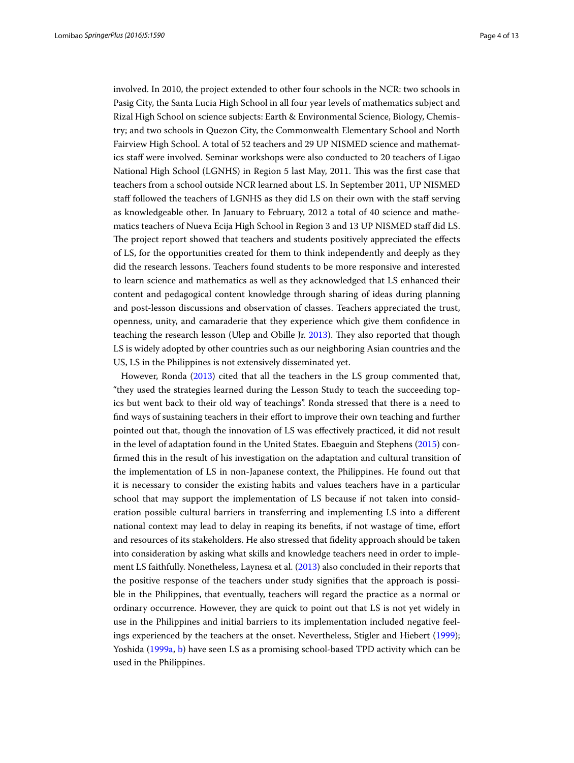involved. In 2010, the project extended to other four schools in the NCR: two schools in Pasig City, the Santa Lucia High School in all four year levels of mathematics subject and Rizal High School on science subjects: Earth & Environmental Science, Biology, Chemistry; and two schools in Quezon City, the Commonwealth Elementary School and North Fairview High School. A total of 52 teachers and 29 UP NISMED science and mathematics staff were involved. Seminar workshops were also conducted to 20 teachers of Ligao National High School (LGNHS) in Region 5 last May, 2011. This was the first case that teachers from a school outside NCR learned about LS. In September 2011, UP NISMED staff followed the teachers of LGNHS as they did LS on their own with the staff serving as knowledgeable other. In January to February, 2012 a total of 40 science and mathematics teachers of Nueva Ecija High School in Region 3 and 13 UP NISMED staff did LS. The project report showed that teachers and students positively appreciated the effects of LS, for the opportunities created for them to think independently and deeply as they did the research lessons. Teachers found students to be more responsive and interested to learn science and mathematics as well as they acknowledged that LS enhanced their content and pedagogical content knowledge through sharing of ideas during planning and post-lesson discussions and observation of classes. Teachers appreciated the trust, openness, unity, and camaraderie that they experience which give them confidence in teaching the research lesson (Ulep and Obille Jr. [2013](#page-12-19)). They also reported that though LS is widely adopted by other countries such as our neighboring Asian countries and the US, LS in the Philippines is not extensively disseminated yet.

However, Ronda ([2013](#page-12-20)) cited that all the teachers in the LS group commented that, "they used the strategies learned during the Lesson Study to teach the succeeding topics but went back to their old way of teachings". Ronda stressed that there is a need to find ways of sustaining teachers in their effort to improve their own teaching and further pointed out that, though the innovation of LS was effectively practiced, it did not result in the level of adaptation found in the United States. Ebaeguin and Stephens ([2015](#page-12-21)) confirmed this in the result of his investigation on the adaptation and cultural transition of the implementation of LS in non-Japanese context, the Philippines. He found out that it is necessary to consider the existing habits and values teachers have in a particular school that may support the implementation of LS because if not taken into consideration possible cultural barriers in transferring and implementing LS into a different national context may lead to delay in reaping its benefits, if not wastage of time, effort and resources of its stakeholders. He also stressed that fidelity approach should be taken into consideration by asking what skills and knowledge teachers need in order to implement LS faithfully. Nonetheless, Laynesa et al. [\(2013](#page-12-22)) also concluded in their reports that the positive response of the teachers under study signifies that the approach is possible in the Philippines, that eventually, teachers will regard the practice as a normal or ordinary occurrence. However, they are quick to point out that LS is not yet widely in use in the Philippines and initial barriers to its implementation included negative feelings experienced by the teachers at the onset. Nevertheless, Stigler and Hiebert ([1999](#page-12-23)); Yoshida [\(1999a,](#page-12-11) [b\)](#page-12-24) have seen LS as a promising school-based TPD activity which can be used in the Philippines.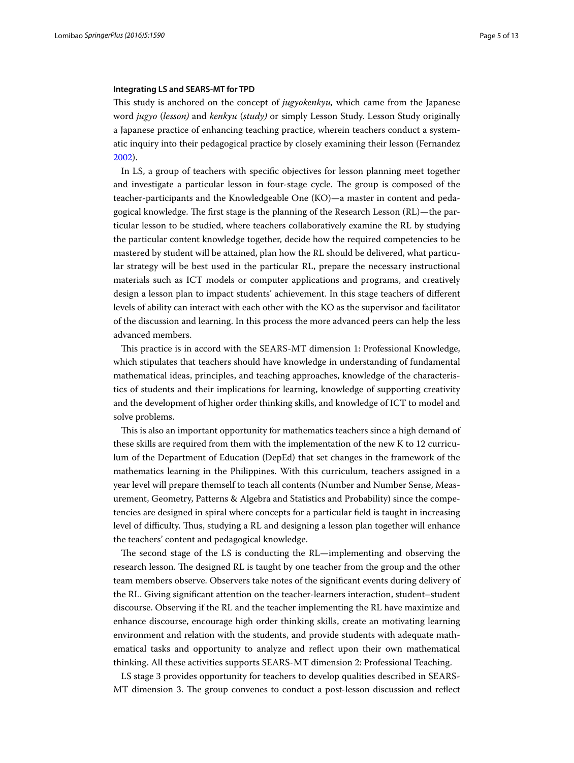#### **Integrating LS and SEARS‑MT for TPD**

This study is anchored on the concept of *jugyokenkyu,* which came from the Japanese word *jugyo* (*lesson)* and *kenkyu* (*study)* or simply Lesson Study. Lesson Study originally a Japanese practice of enhancing teaching practice, wherein teachers conduct a systematic inquiry into their pedagogical practice by closely examining their lesson (Fernandez [2002](#page-12-25)).

In LS, a group of teachers with specific objectives for lesson planning meet together and investigate a particular lesson in four-stage cycle. The group is composed of the teacher-participants and the Knowledgeable One (KO)—a master in content and pedagogical knowledge. The first stage is the planning of the Research Lesson (RL)—the particular lesson to be studied, where teachers collaboratively examine the RL by studying the particular content knowledge together, decide how the required competencies to be mastered by student will be attained, plan how the RL should be delivered, what particular strategy will be best used in the particular RL, prepare the necessary instructional materials such as ICT models or computer applications and programs, and creatively design a lesson plan to impact students' achievement. In this stage teachers of different levels of ability can interact with each other with the KO as the supervisor and facilitator of the discussion and learning. In this process the more advanced peers can help the less advanced members.

This practice is in accord with the SEARS-MT dimension 1: Professional Knowledge, which stipulates that teachers should have knowledge in understanding of fundamental mathematical ideas, principles, and teaching approaches, knowledge of the characteristics of students and their implications for learning, knowledge of supporting creativity and the development of higher order thinking skills, and knowledge of ICT to model and solve problems.

This is also an important opportunity for mathematics teachers since a high demand of these skills are required from them with the implementation of the new K to 12 curriculum of the Department of Education (DepEd) that set changes in the framework of the mathematics learning in the Philippines. With this curriculum, teachers assigned in a year level will prepare themself to teach all contents (Number and Number Sense, Measurement, Geometry, Patterns & Algebra and Statistics and Probability) since the competencies are designed in spiral where concepts for a particular field is taught in increasing level of difficulty. Thus, studying a RL and designing a lesson plan together will enhance the teachers' content and pedagogical knowledge.

The second stage of the LS is conducting the RL—implementing and observing the research lesson. The designed RL is taught by one teacher from the group and the other team members observe. Observers take notes of the significant events during delivery of the RL. Giving significant attention on the teacher-learners interaction, student–student discourse. Observing if the RL and the teacher implementing the RL have maximize and enhance discourse, encourage high order thinking skills, create an motivating learning environment and relation with the students, and provide students with adequate mathematical tasks and opportunity to analyze and reflect upon their own mathematical thinking. All these activities supports SEARS-MT dimension 2: Professional Teaching.

LS stage 3 provides opportunity for teachers to develop qualities described in SEARS-MT dimension 3. The group convenes to conduct a post-lesson discussion and reflect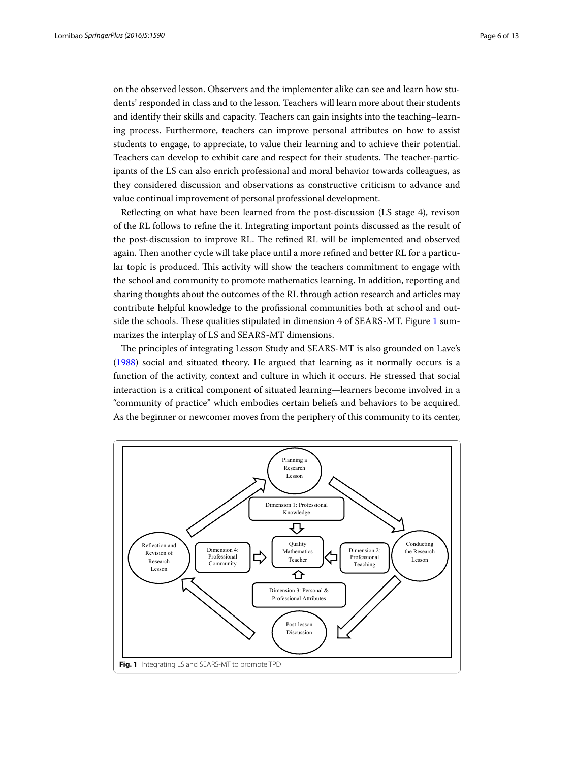on the observed lesson. Observers and the implementer alike can see and learn how students' responded in class and to the lesson. Teachers will learn more about their students and identify their skills and capacity. Teachers can gain insights into the teaching–learning process. Furthermore, teachers can improve personal attributes on how to assist students to engage, to appreciate, to value their learning and to achieve their potential. Teachers can develop to exhibit care and respect for their students. The teacher-participants of the LS can also enrich professional and moral behavior towards colleagues, as they considered discussion and observations as constructive criticism to advance and value continual improvement of personal professional development.

Reflecting on what have been learned from the post-discussion (LS stage 4), revison of the RL follows to refine the it. Integrating important points discussed as the result of the post-discussion to improve RL. The refined RL will be implemented and observed again. Then another cycle will take place until a more refined and better RL for a particular topic is produced. This activity will show the teachers commitment to engage with the school and community to promote mathematics learning. In addition, reporting and sharing thoughts about the outcomes of the RL through action research and articles may contribute helpful knowledge to the profissional communities both at school and outside the schools. These qualities stipulated in dimension 4 of SEARS-MT. Figure [1](#page-5-0) summarizes the interplay of LS and SEARS-MT dimensions.

The principles of integrating Lesson Study and SEARS-MT is also grounded on Lave's ([1988\)](#page-12-26) social and situated theory. He argued that learning as it normally occurs is a function of the activity, context and culture in which it occurs. He stressed that social interaction is a critical component of situated learning—learners become involved in a "community of practice" which embodies certain beliefs and behaviors to be acquired. As the beginner or newcomer moves from the periphery of this community to its center,

<span id="page-5-0"></span>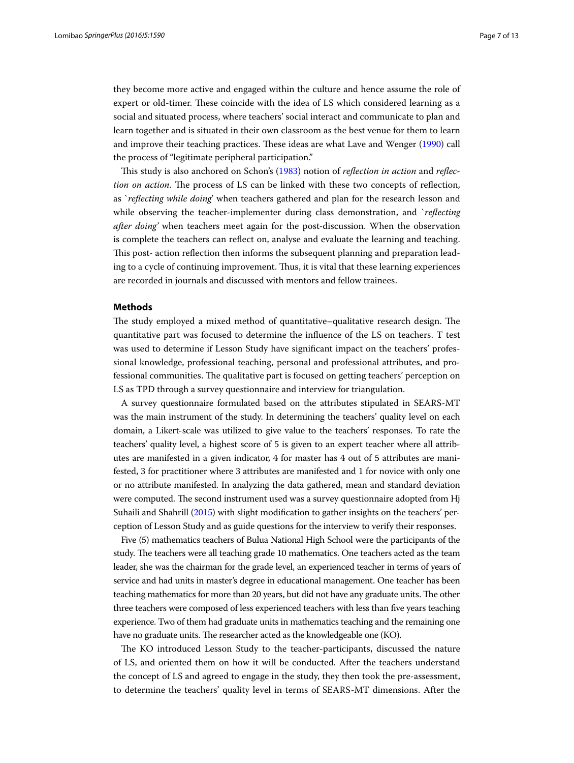they become more active and engaged within the culture and hence assume the role of expert or old-timer. These coincide with the idea of LS which considered learning as a social and situated process, where teachers' social interact and communicate to plan and learn together and is situated in their own classroom as the best venue for them to learn and improve their teaching practices. These ideas are what Lave and Wenger [\(1990\)](#page-12-27) call the process of "legitimate peripheral participation."

This study is also anchored on Schon's [\(1983](#page-12-28)) notion of *reflection in action* and *reflection on action*. The process of LS can be linked with these two concepts of reflection, as `*reflecting while doing*' when teachers gathered and plan for the research lesson and while observing the teacher-implementer during class demonstration, and `*reflecting after doing'* when teachers meet again for the post-discussion. When the observation is complete the teachers can reflect on, analyse and evaluate the learning and teaching. This post- action reflection then informs the subsequent planning and preparation leading to a cycle of continuing improvement. Thus, it is vital that these learning experiences are recorded in journals and discussed with mentors and fellow trainees.

#### **Methods**

The study employed a mixed method of quantitative–qualitative research design. The quantitative part was focused to determine the influence of the LS on teachers. T test was used to determine if Lesson Study have significant impact on the teachers' professional knowledge, professional teaching, personal and professional attributes, and professional communities. The qualitative part is focused on getting teachers' perception on LS as TPD through a survey questionnaire and interview for triangulation.

A survey questionnaire formulated based on the attributes stipulated in SEARS-MT was the main instrument of the study. In determining the teachers' quality level on each domain, a Likert-scale was utilized to give value to the teachers' responses. To rate the teachers' quality level, a highest score of 5 is given to an expert teacher where all attributes are manifested in a given indicator, 4 for master has 4 out of 5 attributes are manifested, 3 for practitioner where 3 attributes are manifested and 1 for novice with only one or no attribute manifested. In analyzing the data gathered, mean and standard deviation were computed. The second instrument used was a survey questionnaire adopted from Hj Suhaili and Shahrill [\(2015](#page-12-29)) with slight modification to gather insights on the teachers' perception of Lesson Study and as guide questions for the interview to verify their responses.

Five (5) mathematics teachers of Bulua National High School were the participants of the study. The teachers were all teaching grade 10 mathematics. One teachers acted as the team leader, she was the chairman for the grade level, an experienced teacher in terms of years of service and had units in master's degree in educational management. One teacher has been teaching mathematics for more than 20 years, but did not have any graduate units. The other three teachers were composed of less experienced teachers with less than five years teaching experience. Two of them had graduate units in mathematics teaching and the remaining one have no graduate units. The researcher acted as the knowledgeable one (KO).

The KO introduced Lesson Study to the teacher-participants, discussed the nature of LS, and oriented them on how it will be conducted. After the teachers understand the concept of LS and agreed to engage in the study, they then took the pre-assessment, to determine the teachers' quality level in terms of SEARS-MT dimensions. After the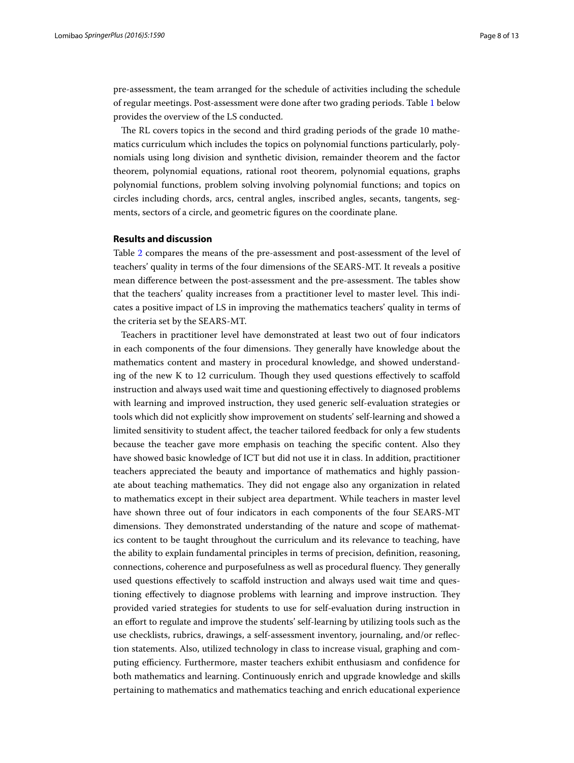pre-assessment, the team arranged for the schedule of activities including the schedule of regular meetings. Post-assessment were done after two grading periods. Table [1](#page-8-0) below provides the overview of the LS conducted.

The RL covers topics in the second and third grading periods of the grade 10 mathematics curriculum which includes the topics on polynomial functions particularly, polynomials using long division and synthetic division, remainder theorem and the factor theorem, polynomial equations, rational root theorem, polynomial equations, graphs polynomial functions, problem solving involving polynomial functions; and topics on circles including chords, arcs, central angles, inscribed angles, secants, tangents, segments, sectors of a circle, and geometric figures on the coordinate plane.

#### **Results and discussion**

Table [2](#page-9-0) compares the means of the pre-assessment and post-assessment of the level of teachers' quality in terms of the four dimensions of the SEARS-MT. It reveals a positive mean difference between the post-assessment and the pre-assessment. The tables show that the teachers' quality increases from a practitioner level to master level. This indicates a positive impact of LS in improving the mathematics teachers' quality in terms of the criteria set by the SEARS-MT.

Teachers in practitioner level have demonstrated at least two out of four indicators in each components of the four dimensions. They generally have knowledge about the mathematics content and mastery in procedural knowledge, and showed understanding of the new K to 12 curriculum. Though they used questions effectively to scaffold instruction and always used wait time and questioning effectively to diagnosed problems with learning and improved instruction, they used generic self-evaluation strategies or tools which did not explicitly show improvement on students' self-learning and showed a limited sensitivity to student affect, the teacher tailored feedback for only a few students because the teacher gave more emphasis on teaching the specific content. Also they have showed basic knowledge of ICT but did not use it in class. In addition, practitioner teachers appreciated the beauty and importance of mathematics and highly passionate about teaching mathematics. They did not engage also any organization in related to mathematics except in their subject area department. While teachers in master level have shown three out of four indicators in each components of the four SEARS-MT dimensions. They demonstrated understanding of the nature and scope of mathematics content to be taught throughout the curriculum and its relevance to teaching, have the ability to explain fundamental principles in terms of precision, definition, reasoning, connections, coherence and purposefulness as well as procedural fluency. They generally used questions effectively to scaffold instruction and always used wait time and questioning effectively to diagnose problems with learning and improve instruction. They provided varied strategies for students to use for self-evaluation during instruction in an effort to regulate and improve the students' self-learning by utilizing tools such as the use checklists, rubrics, drawings, a self-assessment inventory, journaling, and/or reflection statements. Also, utilized technology in class to increase visual, graphing and computing efficiency. Furthermore, master teachers exhibit enthusiasm and confidence for both mathematics and learning. Continuously enrich and upgrade knowledge and skills pertaining to mathematics and mathematics teaching and enrich educational experience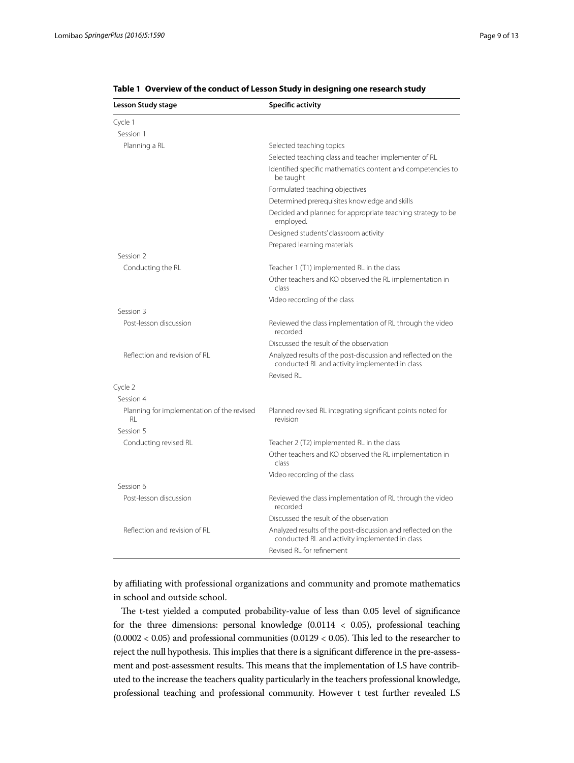| Lesson Study stage                                | <b>Specific activity</b>                                                                                       |
|---------------------------------------------------|----------------------------------------------------------------------------------------------------------------|
| Cycle 1                                           |                                                                                                                |
| Session 1                                         |                                                                                                                |
| Planning a RL                                     | Selected teaching topics                                                                                       |
|                                                   | Selected teaching class and teacher implementer of RL                                                          |
|                                                   | Identified specific mathematics content and competencies to<br>be taught                                       |
|                                                   | Formulated teaching objectives                                                                                 |
|                                                   | Determined prerequisites knowledge and skills                                                                  |
|                                                   | Decided and planned for appropriate teaching strategy to be<br>employed.                                       |
|                                                   | Designed students' classroom activity                                                                          |
|                                                   | Prepared learning materials                                                                                    |
| Session 2                                         |                                                                                                                |
| Conducting the RL                                 | Teacher 1 (T1) implemented RL in the class                                                                     |
|                                                   | Other teachers and KO observed the RL implementation in<br>class                                               |
|                                                   | Video recording of the class                                                                                   |
| Session 3                                         |                                                                                                                |
| Post-lesson discussion                            | Reviewed the class implementation of RL through the video<br>recorded                                          |
|                                                   | Discussed the result of the observation                                                                        |
| Reflection and revision of RL                     | Analyzed results of the post-discussion and reflected on the<br>conducted RL and activity implemented in class |
|                                                   | <b>Revised RL</b>                                                                                              |
| Cycle 2                                           |                                                                                                                |
| Session 4                                         |                                                                                                                |
| Planning for implementation of the revised<br>RI. | Planned revised RL integrating significant points noted for<br>revision                                        |
| Session 5                                         |                                                                                                                |
| Conducting revised RL                             | Teacher 2 (T2) implemented RL in the class                                                                     |
|                                                   | Other teachers and KO observed the RL implementation in<br>class                                               |
|                                                   | Video recording of the class                                                                                   |
| Session 6                                         |                                                                                                                |
| Post-lesson discussion                            | Reviewed the class implementation of RL through the video<br>recorded                                          |
|                                                   | Discussed the result of the observation                                                                        |
| Reflection and revision of RL                     | Analyzed results of the post-discussion and reflected on the<br>conducted RL and activity implemented in class |
|                                                   | Revised RL for refinement                                                                                      |

<span id="page-8-0"></span>**Table 1 Overview of the conduct of Lesson Study in designing one research study**

by affiliating with professional organizations and community and promote mathematics in school and outside school.

The t-test yielded a computed probability-value of less than 0.05 level of significance for the three dimensions: personal knowledge  $(0.0114 < 0.05)$ , professional teaching  $(0.0002 < 0.05)$  and professional communities  $(0.0129 < 0.05)$ . This led to the researcher to reject the null hypothesis. This implies that there is a significant difference in the pre-assessment and post-assessment results. This means that the implementation of LS have contributed to the increase the teachers quality particularly in the teachers professional knowledge, professional teaching and professional community. However t test further revealed LS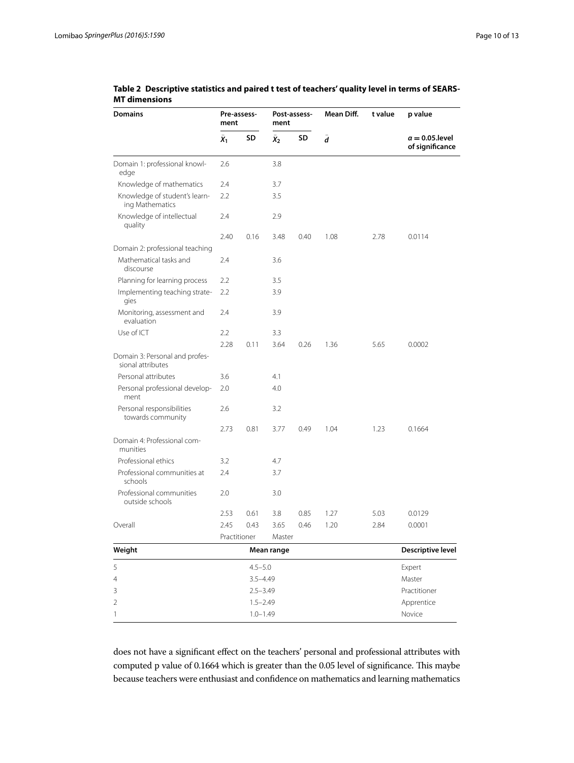| <b>Domains</b>                                      | Pre-assess-<br>ment |              | Post-assess-<br>ment |      | Mean Diff. | t value | p value                                   |  |
|-----------------------------------------------------|---------------------|--------------|----------------------|------|------------|---------|-------------------------------------------|--|
|                                                     | $\bar{X}_1$         | SD           | $\bar{X}_2$          | SD   | ā          |         | $\alpha = 0.05$ .level<br>of significance |  |
| Domain 1: professional knowl-<br>edge               | 2.6                 |              | 3.8                  |      |            |         |                                           |  |
| Knowledge of mathematics                            | 2.4                 |              | 3.7                  |      |            |         |                                           |  |
| Knowledge of student's learn-<br>ing Mathematics    | 2.2                 |              | 3.5                  |      |            |         |                                           |  |
| Knowledge of intellectual<br>quality                | 2.4                 |              | 2.9                  |      |            |         |                                           |  |
|                                                     | 2.40                | 0.16         | 3.48                 | 0.40 | 1.08       | 2.78    | 0.0114                                    |  |
| Domain 2: professional teaching                     |                     |              |                      |      |            |         |                                           |  |
| Mathematical tasks and<br>discourse                 | 2.4                 |              | 3.6                  |      |            |         |                                           |  |
| Planning for learning process                       | 2.2                 |              | 3.5                  |      |            |         |                                           |  |
| Implementing teaching strate-<br>gies               | 2.2                 |              | 3.9                  |      |            |         |                                           |  |
| Monitoring, assessment and<br>evaluation            | 2.4                 |              | 3.9                  |      |            |         |                                           |  |
| Use of ICT                                          | 2.2                 |              | 3.3                  |      |            |         |                                           |  |
|                                                     | 2.28                | 0.11         | 3.64                 | 0.26 | 1.36       | 5.65    | 0.0002                                    |  |
| Domain 3: Personal and profes-<br>sional attributes |                     |              |                      |      |            |         |                                           |  |
| Personal attributes                                 | 3.6                 |              | 4.1                  |      |            |         |                                           |  |
| Personal professional develop-<br>ment              | 2.0                 |              | 4.0                  |      |            |         |                                           |  |
| Personal responsibilities<br>towards community      | 2.6                 |              | 3.2                  |      |            |         |                                           |  |
|                                                     | 2.73                | 0.81         | 3.77                 | 0.49 | 1.04       | 1.23    | 0.1664                                    |  |
| Domain 4: Professional com-<br>munities             |                     |              |                      |      |            |         |                                           |  |
| Professional ethics                                 | 3.2                 |              | 4.7                  |      |            |         |                                           |  |
| Professional communities at<br>schools              | 2.4                 |              | 3.7                  |      |            |         |                                           |  |
| Professional communities<br>outside schools         | 2.0                 |              | 3.0                  |      |            |         |                                           |  |
|                                                     | 2.53                | 0.61         | 3.8                  | 0.85 | 1.27       | 5.03    | 0.0129                                    |  |
| Overall                                             | 2.45                | 0.43         | 3.65                 | 0.46 | 1.20       | 2.84    | 0.0001                                    |  |
|                                                     | Practitioner        |              | Master               |      |            |         |                                           |  |
| Weight                                              |                     |              | Mean range           |      |            |         | <b>Descriptive level</b>                  |  |
| 5                                                   |                     | $4.5 - 5.0$  |                      |      |            |         | Expert                                    |  |
| 4                                                   |                     | $3.5 - 4.49$ |                      |      |            |         | Master                                    |  |
| 3                                                   |                     | $2.5 - 3.49$ |                      |      |            |         | Practitioner                              |  |
| 2                                                   |                     | $1.5 - 2.49$ |                      |      |            |         | Apprentice                                |  |
| 1                                                   |                     | $1.0 - 1.49$ |                      |      |            |         | Novice                                    |  |

#### <span id="page-9-0"></span>**Table 2 Descriptive statistics and paired t test of teachers' quality level in terms of SEARS-MT dimensions**

does not have a significant effect on the teachers' personal and professional attributes with computed p value of 0.1664 which is greater than the 0.05 level of significance. This maybe because teachers were enthusiast and confidence on mathematics and learning mathematics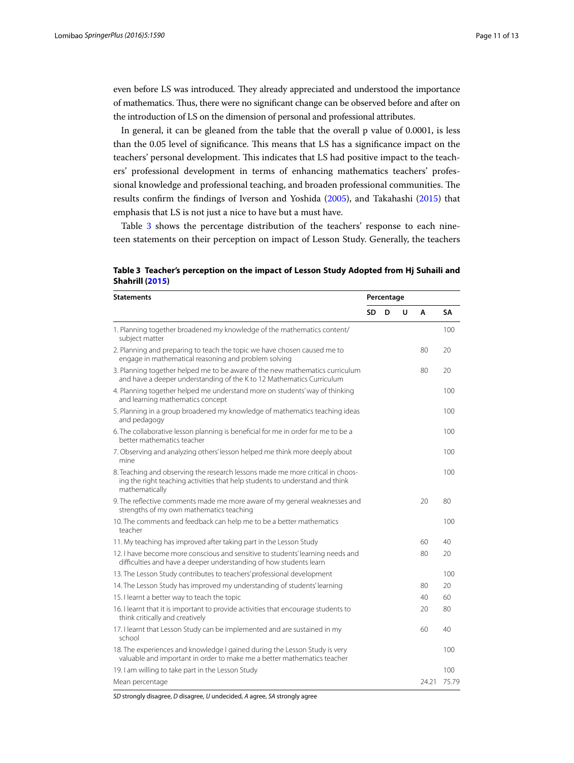even before LS was introduced. They already appreciated and understood the importance of mathematics. Thus, there were no significant change can be observed before and after on the introduction of LS on the dimension of personal and professional attributes.

In general, it can be gleaned from the table that the overall p value of 0.0001, is less than the 0.05 level of significance. This means that LS has a significance impact on the teachers' personal development. This indicates that LS had positive impact to the teachers' professional development in terms of enhancing mathematics teachers' professional knowledge and professional teaching, and broaden professional communities. The results confirm the findings of Iverson and Yoshida ([2005](#page-12-14)), and Takahashi [\(2015\)](#page-12-15) that emphasis that LS is not just a nice to have but a must have.

Table [3](#page-10-0) shows the percentage distribution of the teachers' response to each nineteen statements on their perception on impact of Lesson Study. Generally, the teachers

| <b>Statements</b>                                                                                                                                                                |           | Percentage |   |       |           |  |  |
|----------------------------------------------------------------------------------------------------------------------------------------------------------------------------------|-----------|------------|---|-------|-----------|--|--|
|                                                                                                                                                                                  | <b>SD</b> | D          | U | A     | <b>SA</b> |  |  |
| 1. Planning together broadened my knowledge of the mathematics content/<br>subject matter                                                                                        |           |            |   |       | 100       |  |  |
| 2. Planning and preparing to teach the topic we have chosen caused me to<br>engage in mathematical reasoning and problem solving                                                 |           |            |   | 80    | 20        |  |  |
| 3. Planning together helped me to be aware of the new mathematics curriculum<br>and have a deeper understanding of the K to 12 Mathematics Curriculum                            |           |            |   | 80    | 20        |  |  |
| 4. Planning together helped me understand more on students' way of thinking<br>and learning mathematics concept                                                                  |           |            |   |       | 100       |  |  |
| 5. Planning in a group broadened my knowledge of mathematics teaching ideas<br>and pedagogy                                                                                      |           |            |   |       | 100       |  |  |
| 6. The collaborative lesson planning is beneficial for me in order for me to be a<br>better mathematics teacher                                                                  |           |            |   |       | 100       |  |  |
| 7. Observing and analyzing others' lesson helped me think more deeply about<br>mine                                                                                              |           |            |   |       | 100       |  |  |
| 8. Teaching and observing the research lessons made me more critical in choos-<br>ing the right teaching activities that help students to understand and think<br>mathematically |           |            |   |       | 100       |  |  |
| 9. The reflective comments made me more aware of my general weaknesses and<br>strengths of my own mathematics teaching                                                           |           |            |   | 20    | 80        |  |  |
| 10. The comments and feedback can help me to be a better mathematics<br>teacher                                                                                                  |           |            |   |       | 100       |  |  |
| 11. My teaching has improved after taking part in the Lesson Study                                                                                                               |           |            |   | 60    | 40        |  |  |
| 12. I have become more conscious and sensitive to students' learning needs and<br>difficulties and have a deeper understanding of how students learn                             |           |            |   | 80    | 20        |  |  |
| 13. The Lesson Study contributes to teachers' professional development                                                                                                           |           |            |   |       | 100       |  |  |
| 14. The Lesson Study has improved my understanding of students' learning                                                                                                         |           |            |   | 80    | 20        |  |  |
| 15. I learnt a better way to teach the topic                                                                                                                                     |           |            |   | 40    | 60        |  |  |
| 16. I learnt that it is important to provide activities that encourage students to<br>think critically and creatively                                                            |           |            |   | 20    | 80        |  |  |
| 17. I learnt that Lesson Study can be implemented and are sustained in my<br>school                                                                                              |           |            |   | 60    | 40        |  |  |
| 18. The experiences and knowledge I gained during the Lesson Study is very<br>valuable and important in order to make me a better mathematics teacher                            |           |            |   |       | 100       |  |  |
| 19. I am willing to take part in the Lesson Study                                                                                                                                |           |            |   |       | 100       |  |  |
| Mean percentage                                                                                                                                                                  |           |            |   | 24.21 | 75.79     |  |  |

<span id="page-10-0"></span>**Table 3 Teacher's perception on the impact of Lesson Study Adopted from Hj Suhaili and Shahrill [\(2015](#page-12-29))**

*SD* strongly disagree, *D* disagree, *U* undecided, *A* agree, *SA* strongly agree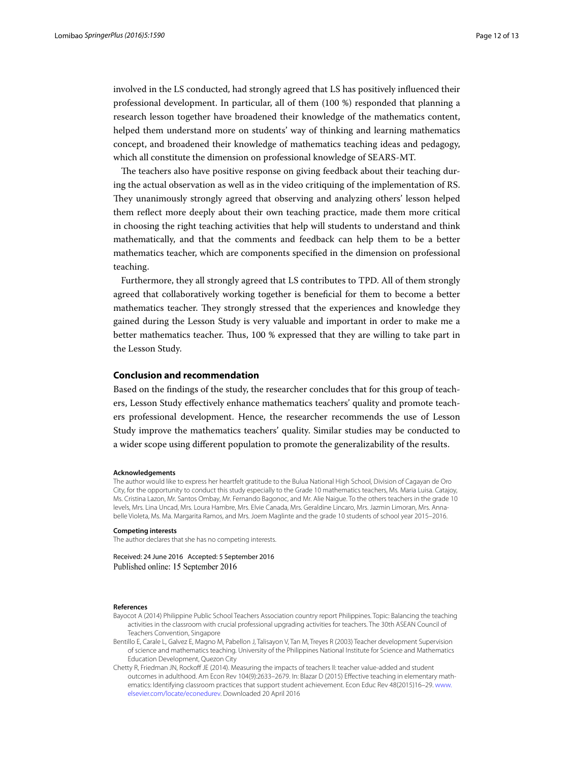involved in the LS conducted, had strongly agreed that LS has positively influenced their professional development. In particular, all of them (100 %) responded that planning a research lesson together have broadened their knowledge of the mathematics content, helped them understand more on students' way of thinking and learning mathematics concept, and broadened their knowledge of mathematics teaching ideas and pedagogy, which all constitute the dimension on professional knowledge of SEARS-MT.

The teachers also have positive response on giving feedback about their teaching during the actual observation as well as in the video critiquing of the implementation of RS. They unanimously strongly agreed that observing and analyzing others' lesson helped them reflect more deeply about their own teaching practice, made them more critical in choosing the right teaching activities that help will students to understand and think mathematically, and that the comments and feedback can help them to be a better mathematics teacher, which are components specified in the dimension on professional teaching.

Furthermore, they all strongly agreed that LS contributes to TPD. All of them strongly agreed that collaboratively working together is beneficial for them to become a better mathematics teacher. They strongly stressed that the experiences and knowledge they gained during the Lesson Study is very valuable and important in order to make me a better mathematics teacher. Thus, 100 % expressed that they are willing to take part in the Lesson Study.

#### **Conclusion and recommendation**

Based on the findings of the study, the researcher concludes that for this group of teachers, Lesson Study effectively enhance mathematics teachers' quality and promote teachers professional development. Hence, the researcher recommends the use of Lesson Study improve the mathematics teachers' quality. Similar studies may be conducted to a wider scope using different population to promote the generalizability of the results.

#### **Acknowledgements**

The author would like to express her heartfelt gratitude to the Bulua National High School, Division of Cagayan de Oro City, for the opportunity to conduct this study especially to the Grade 10 mathematics teachers, Ms. Maria Luisa. Catajoy, Ms. Cristina Lazon, Mr. Santos Ombay, Mr. Fernando Bagonoc, and Mr. Alie Naigue. To the others teachers in the grade 10 levels, Mrs. Lina Uncad, Mrs. Loura Hambre, Mrs. Elvie Canada, Mrs. Geraldine Lincaro, Mrs. Jazmin Limoran, Mrs. Annabelle Violeta, Ms. Ma. Margarita Ramos, and Mrs. Joem Maglinte and the grade 10 students of school year 2015–2016.

#### **Competing interests**

The author declares that she has no competing interests.

Received: 24 June 2016 Accepted: 5 September 2016 Published online: 15 September 2016

#### **References**

- <span id="page-11-1"></span>Bayocot A (2014) Philippine Public School Teachers Association country report Philippines. Topic: Balancing the teaching activities in the classroom with crucial professional upgrading activities for teachers. The 30th ASEAN Council of Teachers Convention, Singapore
- <span id="page-11-2"></span>Bentillo E, Carale L, Galvez E, Magno M, Pabellon J, Talisayon V, Tan M, Treyes R (2003) Teacher development Supervision of science and mathematics teaching. University of the Philippines National Institute for Science and Mathematics Education Development, Quezon City
- <span id="page-11-0"></span>Chetty R, Friedman JN, Rockoff JE (2014). Measuring the impacts of teachers II: teacher value-added and student outcomes in adulthood. Am Econ Rev 104(9):2633–2679. In: Blazar D (2015) Effective teaching in elementary mathematics: Identifying classroom practices that support student achievement. Econ Educ Rev 48(2015)16–29. [www.](http://www.elsevier.com/locate/econedurev) [elsevier.com/locate/econedurev.](http://www.elsevier.com/locate/econedurev) Downloaded 20 April 2016